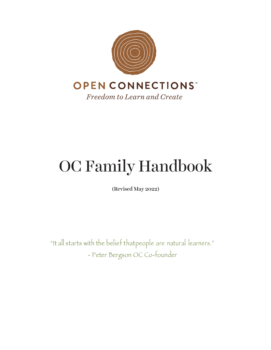

# OC Family Handbook

(Revised May 2022)

"It all starts with the belief thatpeople are natural learners." - Peter Bergson OC Co-founder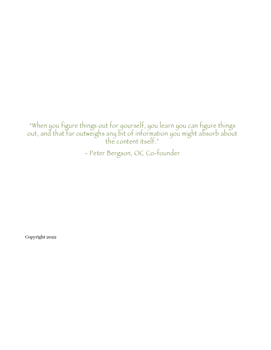"When you figure things out for yourself, you learn you can figure things out, and that far outweighs any bit of information you might absorb about the content itself."

- Peter Bergson, OC Co-founder

Copyright 2022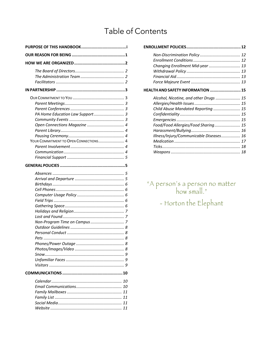# Table of Contents

| PA Home Education Law Support 3       |
|---------------------------------------|
|                                       |
|                                       |
|                                       |
|                                       |
| YOUR COMMITMENT TO OPEN CONNECTIONS 4 |
|                                       |
|                                       |
|                                       |
|                                       |
|                                       |
|                                       |
|                                       |
|                                       |
|                                       |
|                                       |
|                                       |
|                                       |
|                                       |
|                                       |
|                                       |
|                                       |
|                                       |
|                                       |
|                                       |
|                                       |
|                                       |
|                                       |
|                                       |
|                                       |
|                                       |
|                                       |
|                                       |
|                                       |
|                                       |

| Changing Enrollment Mid-year  13         |  |
|------------------------------------------|--|
|                                          |  |
|                                          |  |
|                                          |  |
| <b>HEALTH AND SAFETY INFORMATION  15</b> |  |
| Alcohol, Nicotine, and other Drugs  15   |  |
|                                          |  |
| Child Abuse Mandated Reporting  15       |  |
|                                          |  |
|                                          |  |
| Food/Food Allergies/Food Sharing 15      |  |
|                                          |  |
| Illness/Injury/Communicable Diseases 16  |  |
|                                          |  |
|                                          |  |
|                                          |  |

"A person's a person no matter<br>how small." - Horton the Elephant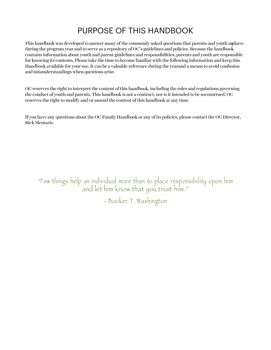# PURPOSE OF THIS HANDBOOK

This handbook was developed to answer many of the commonly asked questions that parents and youth myhave during the program year and to serve as a repository of OC's guidelines and policies. Because the handbook contains information about youth and parent guidelines and responsibilities, parents and youth are responsible for knowing its contents. Please take the time to become familiar with the following information and keep this Handbook available for your use. It can be a valuable reference during the yearand a means to avoid confusion and misunderstandings when questions arise.

OC reserves the right to interpret the content of this handbook, including the rules and regulations governing the conduct of youth and parents. This handbook is not a contract, nor is it intended to be soconstrued. OC reserves the right to modify and/or amend the content ofthis handbook at any time.

If you have any questions about the OC Family Handbook or any of its policies, please contact the OC Director, Rick Sleutaris.

"Few things help an individual more than to place responsibility upon him and let him know that you trust him."

- Booker T. Washington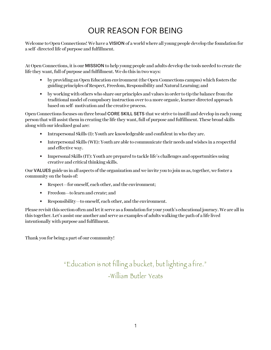# OUR REASON FOR BEING

Welcome to Open Connections! We have a VISION of a world where all young people develop the foundation for a self- directed life of purpose and fulfillment.

At Open Connections, it is our MISSION to help young people and adults develop the tools needed to create the life they want, full of purpose and fulfillment. We do this in two ways:

- by providing an Open Education environment (the Open Connections campus) which fosters the guiding principles of Respect, Freedom, Responsibility and Natural Learning; and
- by working with others who share our principles and values in order to tip the balance from the traditional model of compulsory instruction over to a more organic, learner-directed approach based on self- motivation and the creative process.

Open Connections focuses on three broad CORE SKILL SETS that we strive to instill and develop in each young person that will assist them in creating the life they want, full of purpose and fulfillment. These broad skills along with our idealized goal are:

- Intrapersonal Skills (I): Youth are knowledgeable and confident in who they are.
- Interpersonal Skills (WE): Youth are able to communicate their needs and wishes in a respectful and effective way.
- Impersonal Skills (IT): Youth are prepared to tackle life's challenges and opportunities using creative and critical thinking skills.

Our **VALUES** guide us in all aspects of the organization and we invite you to join us as, together, we foster a community on the basis of:

- Respect—for oneself, each other, and the environment;
- Freedom—to learn and create; and
- Responsibility—to oneself, each other, and the environment.

Please revisitthis section often and letit serve as a foundation for your youth's educational journey.We are all in this together. Let's assist one another and serve as examples of adults walking the path of a life lived intentionally with purpose and fulfillment.

Thank you for being a part of our community!

"Education is not filling a bucket, but lighting a fire." -William Butler Yeats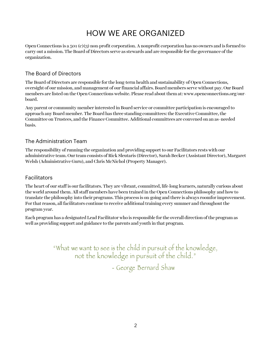# HOW WE ARE ORGANIZED

Open Connections is a 501 (c)(3) non-profit corporation. A nonprofit corporation has no owners and is formed to carry out a mission. The Board of Directors serve as stewards and are responsible for the governance ofthe organization.

# The Board of Directors

The Board of Directors are responsible for the long-term health and sustainability of Open Connections, oversight of our mission, and management of our financial affairs. Board members serve without pay. Our Board members are listed on the Open Connections website. Please read about them at: www.openconnections.org/ourboard.

Any parent or community member interested in Board service or committee participation is encouraged to approach any Board member. The Board has three standing committees: the Executive Committee, the Committee on Trustees, and the FinanceCommittee. Additional committees are convened on an as–needed basis.

# The Administration Team

The responsibility of running the organization and providing support to our Facilitators rests with our administrative team. Our team consists of Rick Sleutaris (Director), Sarah Becker (Assistant Director), Margaret Welsh (Administrative Guru), and Chris McNichol (Property Manager).

# Facilitators

The heart of our staff is our facilitators. They are vibrant, committed, life-long learners, naturally curious about the world around them. All staff members have been trained in the Open Connections philosophy and how to translate the philosophy into their programs. This process is on-going and there is always roomfor improvement. For that reason, all facilitators continue to receive additional training every summer and throughoutthe program year.

Each program has a designated Lead Facilitator who is responsible for the overall direction ofthe program as well as providing support and guidance to the parents and youth in that program.

> "What we want to see is the child in pursuit of the knowledge, not the knowledge in pursuit of the child." - George Bernard Shaw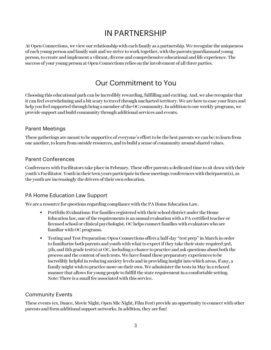# IN PARTNERSHIP

At Open Connections, we view our relationship with each family as a partnership. We recognize the uniqueness of each young person and family unit and we strive to work together, with the parents/guardiansand young person, to create and implement a vibrant, diverse and comprehensive educational and life experience. The success of your young person at Open Connections relies on the involvement of all three parties.

# Our Commitment to You

Choosing this educational path can be incredibly rewarding, fulfilling and exciting. And, we also recognize that it can feel overwhelming and a bit scary to travel through uncharted territory. We are here to ease your fears and help you feel supported through being a member of the OC community. In addition to our weekly programs, we provide support and build community through additional services and events.

# Parent Meetings

These gatherings are meant to be supportive of everyone's effort to be the best parents we can be: to learn from one another, to learn from outside resources, and to build a sense of community around shared values.

### Parent Conferences

Conferences with Facilitators take place in February. These offer parents a dedicated time to sit down with their youth's Facilitator. Youth in their teen years participate in these meetings/conferences with theirparent(s), as the youth are increasingly the drivers of their own education.

### PA Home Education Law Support

We are a resource for questions regarding compliance with the PA Home Education Law.

- Portfolio Evaluations: For families registered with their school district under the Home Education law, one of the requirements is an annual evaluation with a PA-certified teacher or licensed school or clinical psychologist. OC helps connect families with evaluators who are familiar with OC programs.
- Testing and Test Preparation: Open Connections offers a half-day "test prep" in March in order to familiarize both parents and youth with what to expect if they take their state-required 3rd, 5th, and 8th grade test(s) at OC, including a chance to practice and ask questions about both the process and the content of such tests. We have found these preparatory experiences to be incredibly helpful in reducing anxiety levels and in providing insight into which areas, if any, a family might wish to practice more on their own. We administer the tests in May in a relaxed manner that allows for young people to fulfill the state requirement in a comfortable setting. Note: There is a small fee associated with this service.

# Community Events

These events (ex. Dance, Movie Night, Open Mic Night, Film Fest) provide an opportunity to connect with other parents and form additional support networks. In addition, they are fun!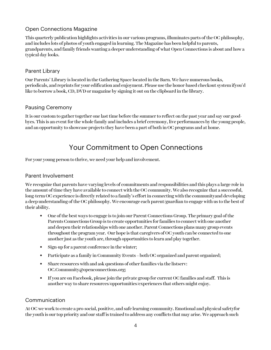# Open Connections Magazine

This quarterly publication highlights activities in our various programs, illuminates parts of the OC philosophy, and includes lots of photos of youth engaged in learning. The Magazine has been helpful to parents, grandparents, and family friends wanting a deeper understanding of what Open Connections is about and how a typical day looks.

# Parent Library

Our Parents' Library is located in the Gathering Space located in the Barn. We have numerous books, periodicals, and reprints for your edification and enjoyment. Please use the honor-based checkout system ifyou'd like to borrow a book, CD, DVD or magazine by signing it out on the clipboard in the library.

# Pausing Ceremony

It is our custom to gather together one last time before the summer to reflect on the past year and say our goodbyes. This is an event for the whole family and includes a brief ceremony, live performances by the young people, and an opportunity to showcase projects they have been a part of both in OC programs and at home.

# Your Commitment to Open Connections

For your young person to thrive, we need your help and involvement.

### Parent Involvement

We recognize that parents have varying levels of commitments and responsibilities and this plays a large role in the amount of time they have available to connect with the OC community. We also recognize that a successful, long-term OCexperience is directly related to a family's effortin connecting with the communityand developing a deep understanding of the OC philosophy. We encourage each parent/guardian to engage with us to the best of their ability.

- One of the best ways to engage is to join our Parent Connections Group. The primary goal of the Parents Connections Group is to create opportunities for families to connect with one another and deepen their relationships with one another. Parent Connections plans many group events throughout the program year. Our hope is that caregivers of OC youth can be connected to one another just as the youth are, through opportunities to learn and play together.
- Sign-up for a parent conference in the winter;
- Participate as a family in Community Events both OC organized and parent organized;
- Share resources with and ask questions of other families via the listserv: OC.Community@openconnections.org;
- If you are on Facebook, please join the private group for current OC families and staff. This is another way to share resources/opportunities/experiences that others might enjoy.

# Communication

At OC we work to create a pro-social, positive, and safe learning community. Emotional and physical safetyfor the youth is our top priority and our staff is trained to address any conflicts that may arise. We approach such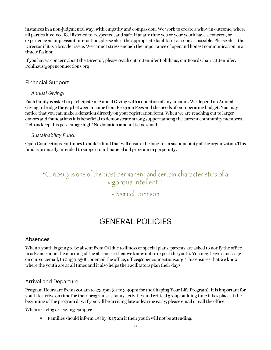instances in a non-judgmental way, with empathy and compassion. We work to create a win-win outcome, where all parties involved feel listened to, respected, and safe. If at any time you or your youth have a concern, or experience an unpleasant interaction, please alert the appropriate facilitator as soon as possible. Please alert the Director if it is a broader issue. We cannot stress enough the importance of openand honest communication in a timely fashion.

If you have a concern about the Director, please reach out to Jennifer Pohlhaus, our Board Chair, at Jennifer. Pohlhaus@openconnections.org

### Financial Support

#### *Annual Giving:*

Each family is asked to participate in Annual Giving with a donation of any amount. We depend on Annual Giving to bridge the gap between income from Program Fees and the needs of our operating budget. You may notice that you can make a donation directly on your registration form. When we are reaching out to larger donors and foundations it is beneficial to demonstrate strong support among the current community members. Help us keep this percentage high! No donation amount is too small.

#### *Sustainability Fund:*

Open Connections continues to build a fund that will ensure the long-term sustainability ofthe organization.This fund is primarily intended to support our financial aid program in perpetuity.

# "Curiosity is one of the most permanent and certain characteristics of a vigorous intellect."

- Samuel Johnson

# GENERAL POLICIES

### Absences

When a youth is going to be absent from OC due to illness or special plans, parents are asked to notify the office in advance or on the morning of the absence so that we know not to expect the youth. You may leave a message on our voicemail, 610-459-3366, or email the office, office@openconnections.org. This ensures that we know where the youth are at all times and it also helps the Facilitators plan their days.

# Arrival and Departure

Program Hours are from 9:00am to 2:30pm (or to 3:30pm for the Shaping Your Life Program). It is important for youth to arrive on time for their programs as many activities and critical group building time takes place at the beginning of the program day. If you will be arriving late or leaving early, please email or call the office.

When arriving or leaving campus:

• Families should inform OC by 8:45 am if their youth will not be attending.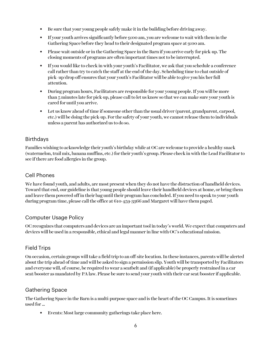- Be sure that your young people safely make it in the building before driving away.
- If your youth arrives significantly before 9:00 am, you are welcome to wait with them in the Gathering Space before they head to their designated program space at 9:00 am.
- Please wait outside or in the Gathering Space in the Barn if you arrive early for pick-up. The closing moments of programs are often important times not to be interrupted.
- If you would like to check in with your youth's Facilitator, we ask that you schedule a conference call rather than try to catch the staff at the end of the day. Scheduling time to chat outside of pick- up/drop off ensures that your youth's Facilitator will be able to give you his/her full attention.
- During program hours, Facilitators are responsible for your young people. If you will be more than 5 minutes late for pick-up, please call to let us know so that we can make sure your youth is cared for until you arrive.
- Let us know ahead of time if someone other than the usual driver (parent, grandparent, carpool, etc.) will be doing the pick-up. For the safety of your youth, we cannot release them to individuals unless a parent has authorized us to do so.

# Birthdays

Families wishing to acknowledge their youth's birthday while at OC are welcome to provide a healthy snack (watermelon, trail mix, banana muffins, etc.) for their youth's group. Please check in with the Lead Facilitator to see if there are food allergies in the group.

### Cell Phones

We have found youth, and adults, are most present when they do not have the distraction of handheld devices. Toward that end, our guideline is that young people should leave their handheld devices at home, or bring them and leave them powered off in their bag until their program has concluded. If you need to speak to your youth during program time, please call the office at 610-459-3366 and Margaret will have them paged.

### Computer Usage Policy

OCrecognizes that computers and devices are an important tool in today's world. We expect that computers and devices will be used in a responsible, ethical and legal manner in line with OC's educational mission.

# Field Trips

On occasion, certain groups will take a field trip to an off-site location. In these instances, parents will be alerted about the trip ahead of time and will be asked to sign a permission slip. Youth will be transported by Facilitators and everyone will, of course, be required to wear a seatbelt and (if applicable) be properly restrained in a car seat/booster as mandated by PA law. Please be sure to send your youth with their car seat/booster if applicable.

### Gathering Space

The Gathering Space in the Barn is a multi-purpose space and is the heart of the OC Campus. It is sometimes used for …

• Events: Most large community gatherings take place here.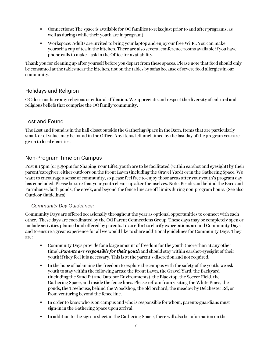- Connections: The space is available for OC families to relax just prior to and after programs, as well as during (while their youth are in program).
- Workspace: Adults are invited to bring your laptop and enjoy our free Wi-Fi. You can make yourself a cup of tea in the kitchen. There are also several conference rooms available if you have phone calls to make – ask in the Office for availability.

Thank you for cleaning up after yourself before you depart from these spaces. Please note that food should only be consumed at the tables near the kitchen, not on the tables by sofas because of severe food allergies in our community.

### Holidays and Religion

OC does not have any religious or cultural affiliation. We appreciate and respect the diversity of cultural and religious beliefs that comprise the OC family/community.

# Lost and Found

The Lost and Found is in the hall closet outside the Gathering Space in the Barn. Items that are particularly small, or of value, may be found in the Office. Any items left unclaimed by the last day of the program year are given to local charities.

# Non-Program Time on Campus

Post 2:15pm (or 3:30pm for Shaping Your Life), youth are to be facilitated (within earshot and eyesight) by their parent/caregiver, either outdoors on the Front Lawn (including the Gravel Yard) or in the Gathering Space. We want to encourage a sense of community, so please feel free to enjoy those areas after your youth's program day has concluded. Please be sure that your youth cleans up after themselves. Note: Beside and behind the Barn and Farmhouse, both ponds, the creek, and beyond the fence-line are off-limits during non-program hours. (See also Outdoor Guidelines)

#### *Community Day Guidelines:*

Community Days are offered occasionally throughout the year as optional opportunities to connect with each other. These days are coordinated by the OC Parent Connections Group. These days may be completely open or include activities planned and offered by parents. In an effort to clarify expectations around Community Days and to ensure a great experience for all we would like to share additional guidelines for Community Days. They are:

- Community Days provide for a large amount of freedom for the youth (more than at any other time). *Parents are responsible for their youth* and should stay within earshot/eyesight of their youth if they feel it is necessary. This is at the parent's discretion and not required.
- In the hope of balancing the freedom to explore the campus with the safety of the youth, we ask youth to stay within the following areas: the Front Lawn, the Gravel Yard, the Backyard (including the Sand Pit and Outdoor Environments), the Blacktop, the Soccer Field, the Gathering Space, and inside the fence lines. Please refrain from visiting the White Pines, the ponds, the Treehouse, behind the Woodshop, the old orchard, the meadow by Delchester Rd, or from venturing beyond the fence line.
- In order to know who is on campus and who is responsible for whom, parents/guardians must sign-in in the Gathering Space upon arrival.
- In addition to the sign-in sheet in the Gathering Space, there will also be information on the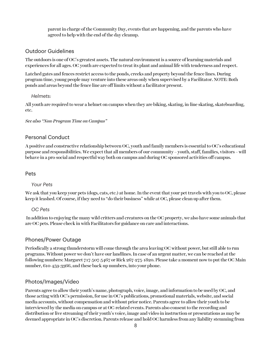parent in charge of the Community Day, events that are happening, and the parents who have agreed to help with the end of the day cleanup.

#### Outdoor Guidelines

The outdoors is one of OC's greatest assets. The natural environment is a source of learning materials and experiences for all ages. OC youth are expected to treat its plant and animal life with tenderness and respect.

Latched gates and fences restrict access to the ponds, creeks and property beyond the fence lines. During program time, young people may venture into these areas only when supervised by a Facilitator. NOTE: Both ponds and areas beyond the fence line are off limits without a facilitator present.

#### *Helmets:*

All youth are required to wear a helmet on campus when they are biking, skating, in-line skating, skateboarding, etc.

*See also "Non-Program Time on Campus"*

#### Personal Conduct

A positive and constructive relationship between OC, youth and family members is essential to OC's educational purpose and responsibilities. We expect that all members of our community – youth, staff, families, visitors – will behave in a pro-social and respectful way both on campus and during OC sponsored activities off campus.

#### Pets

#### *Your Pets*

We ask that you keep your pets (dogs, cats, etc.) at home. In the event that your pet travels with you to OC, please keep it leashed. Of course, if they need to "do their business" while at OC, please clean up after them.

#### *OC Pets*

In addition to enjoying the many wild critters and creatures on the OC property, we also have some animals that are OC pets. Please check in with Facilitators for guidance on care and interactions.

#### Phones/Power Outage

Periodically a strong thunderstorm will come through the area leaving OC without power, but still able to run programs. Without power we don't have our landlines. In case of an urgent matter, we can be reached at the following numbers: Margaret 717-507-5467 or Rick 267-275-1820. Please take a moment now to put the OC Main number, 610-459-3366, and these back-up numbers, into your phone.

#### Photos/Images/Video

Parents agree to allow their youth's name, photograph, voice, image, and information to be used by OC, and those acting with OC's permission, for use in OC's publications, promotional materials, website, and social media accounts, without compensation and without prior notice. Parents agree to allow their youth to be interviewed by the media on campus or at OC-related events. Parents also consent to the recording and distribution or live streaming of their youth's voice, image and video in instruction or presentations as may be deemed appropriate in OC's discretion. Parents release and hold OC harmless from any liability stemming from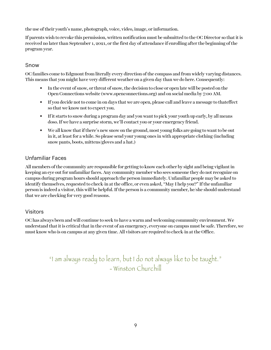the use of their youth's name, photograph, voice, video, image, or information.

If parents wish to revoke this permission, written notification must be submitted to the OC Director so that it is received no later than September 1, 2021, or the first day of attendance if enrolling after the beginning of the program year.

# Snow

OC families come to Edgmont from literally every direction of the compass and from widely varying distances. This means that you might have very different weather on a given day than we do here. Consequently:

- In the event of snow, or threat of snow, the decision to close or open late will be posted on the Open Connections website (www.openconnections.org) and on social media by 7:00 AM.
- If you decide not to come in on days that we are open, please call and leave a message to thateffect so that we know not to expect you.
- If it starts to snow during a program day and you want to pick your youth up early, by all means doso.If we have a surprise storm, we'll contact you or your emergency friend.
- We all know that if there's new snow on the ground, most young folks are going to want to be out in it, at least for a while. So please send your young ones in with appropriate clothing (including snow pants, boots, mittens/gloves and a hat.)

# Unfamiliar Faces

All members of the community are responsible for getting to know each other by sight and being vigilant in keeping an eye out for unfamiliar faces. Any community member who sees someone they do not recognize on campus during program hours should approach the person immediately. Unfamiliar people may be asked to identify themselves, requested to check-in at the office, or even asked, "May I help you?" If the unfamiliar person is indeed a visitor, this will be helpful. If the person is a community member, he/she should understand that we are checking for very good reasons.

# Visitors

OC has always been and will continue to seek to have a warm and welcoming community environment. We understand that it is critical that in the event of an emergency, everyone on campus must be safe. Therefore, we must know who is on campus at any given time. All visitors are required to check-in at the Office.

> "I am always ready to learn, but I do not always like to be taught." - Winston Churchill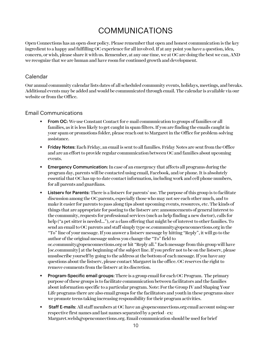# COMMUNICATIONS

Open Connections has an open-door policy. Please remember that open and honest communication is the key ingredient to a happy and fulfilling OC experience for all involved. If at any point you have a question, idea, concern, or wish, please share it with us. Remember, at any one time, we at OC are doing the best we can, AND we recognize that we are human and have room for continued growth and development.

#### Calendar

Our annual community calendar lists dates of all scheduled community events, holidays, meetings, and breaks. Additional events may be added and would be communicated through email. The calendar is available via our website or from the Office.

#### Email Communications

- From OC: We use Constant Contact for e-mail communication to groups of families or all families, as it is less likely to get caught in spam filters. If you are finding the emails caught in your spam or promotions folder, please reach out to Margaret in the Office for problem-solving assistance.
- Friday Notes: Each Friday, an email is sent to all families. Friday Notes are sent from the Office and are an effort to provide regular communication between OC and families about upcoming events.
- Emergency Communication: In case of an emergency that affects all programs during the program day, parents will be contacted using email, Facebook, and/or phone. It is absolutely essential that OC has up-to-date contact information, including work and cell phone numbers, for all parents and guardians.
- Listserv for Parents: There is a listserv for parents' use. The purpose of this group is to facilitate discussion among the OC parents, especially those who may not see each other much, and to make it easier for parents to pass along tips about upcoming events, resources, etc. The kinds of things that are appropriate for posting to the listserv are: announcements of general interest to the community, requests for professional services (such as help finding a new doctor), calls for help ("a pet sitter is needed..."), or a class offering that might be of interest to other families. To send an email to OC parents and staff simply type oc.community@openconnections.org in the "To" line of your message. If you answer a listserv message by hitting "Reply", it will go to the author of the original message unless you change the "To" field to oc.community@openconnections.org or hit "Reply all." Each message from this group will have [oc.community] at the beginning of the subject line. If you prefer not to be on the listserv, please unsubscribe yourself by going to the address at the bottom of each message. If you have any questions about the listserv, please contact Margaret in the office. OC reserves the right to remove comments from the listserv at its discretion.
- Program-Specific email groups: There is a group email for each OC Program. The primary purpose of these groups is to facilitate communication between facilitators and the families about information specific to a particular program. Note: For the Group IV and Shaping Your Life programs there are also email groups for the facilitators and youth in these programs since we promote teens taking increasing responsibility for their program activities.
- Staff E-mails: All staff members at OC have an @openconnections.org email account using our respective first names and last names separated by a period - ex: Margaret.welsh@openconnections.org. Email communication should be used for brief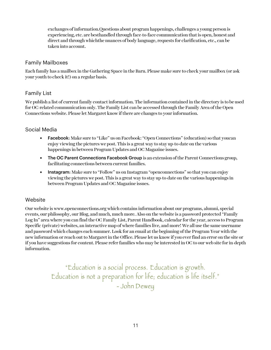exchanges of information.Questions about program happenings, challenges a young person is experiencing, etc. are besthandled through face-to-face communication thatis open, honest and direct and through whichthe nuances of body language, requests for clarification, etc., can be taken into account.

### Family Mailboxes

Each family has a mailbox in the Gathering Space in the Barn. Please make sure to check your mailbox (or ask your youth to check it!) on a regular basis.

# Family List

We publish a list of current family contact information. The information contained in the directory is to be used for OC-related communication only. The Family List can be accessed through the Family Area of the Open Connections website. Please let Margaret know if there are changes to your information.

# Social Media

- Facebook: Make sure to "Like" us on Facebook: "Open Connections" (education) so that youcan enjoy viewing the pictures we post. This is a great way to stay up-to-date on the various happenings in between Program Updates and OC Magazine issues.
- The OC Parent Connections Facebook Group is an extension of the Parent Connections group, facilitating connections between current families.
- **•** Instagram: Make sure to "Follow" us on Instagram "openconnections" so that you can enjoy viewing the pictures we post. This is a great way to stay up-to-date on the various happenings in between Program Updates and OC Magazine issues.

# Website

Our website is www.openconnections.org which contains information about our programs, alumni, special events, our philosophy, our Blog, and much, much more. Also on the website is a password protected "Family Log In" area where you can find the OC Family List, Parent Handbook, calendar for the year, access to Program Specific (private) websites, an interactive map of where families live, and more! We all use the same username and password which changes each summer. Look for an email at the beginning of the Program Year with the new information or reach out to Margaret in the Office. Please let us know if you ever find an error on the site or if you have suggestions for content. Please refer families who may be interested in OC to our web site for in-depth information.

> "Education is a social process. Education is growth. Education is not a preparation for life; education is life itself." - John Dewey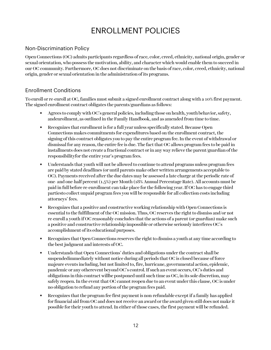# ENROLLMENT POLICIES

# Non-Discrimination Policy

OpenConnections (OC) admits participants regardless of race, color, creed, ethnicity, national origin, gender or sexual orientation, who possess the motivation, ability, and character which would enable them to succeed in our OC community. Furthermore, OC does not discriminate on the basis of race, color, creed, ethnicity, national origin, gender or sexual orientation in the administration of its programs.

# Enrollment Conditions

To enroll or re-enroll at OC, families must submit a signed enrollment contract along with a 10% first payment. The signed enrollment contract obligates the parents/guardians as follows:

- Agrees to comply with OC's general policies, including those on health, youth behavior, safety, andenrollment, as outlined in the Family Handbook, and as amended from time to time.
- Recognizes that enrollment is for a full year unless specifically stated. Because Open Connections makes commitments for expenditures based on the enrollment contract, the signing of this contract obligates you to pay the entire program fee. In the event of withdrawal or dismissal for any reason, the entire fee is due. The fact that OC allows program fees to be paid in installments does not create a fractional contract or in any way relieve the parent/guardian ofthe responsibilityfor the entire year's program fees.
- Understands that youth will not be allowed to continue to attend programs unless program fees are paid by stated deadlines (or until parents make other written arrangements acceptable to OC). Payments received after the due dates may be assessed a late charge at the periodic rate of one- and one-half percent (1.5%) per Month (18% Annual Percentage Rate). All accounts must be paid in full before re-enrollment can take place for the following year. If OC has to engage third partiesto collect unpaid program fees you will be responsible for all collection costs including attorneys' fees.
- Recognizes that a positive and constructive working relationship with Open Connections is essential to the fulfillment of the OC mission. Thus, OC reserves the right to dismiss and/or not re-enroll a youth if OC reasonably concludes that the actions of a parent (or guardian) make such a positive and constructive relationship impossible or otherwise seriously interferes OC's accomplishment of its educational purposes.
- Recognizes that Open Connections reserves the right to dismiss a youth at any time according to the best judgment and interests of OC.
- Understands that Open Connections' duties and obligations under the contract shall be suspendedimmediately without notice during all periods that OC is closed because of force majeure events including, but not limited to, fire, hurricane, governmental action, epidemic, pandemic or any otherevent beyond OC's control.If such an event occurs, OC's duties and obligations in this contract willbe postponed until such time as OC, in its sole discretion, may safely reopen. In the event that OC cannot reopen due to an event under this clause, OC is under no obligation to refund any portion of the program fees paid.
- Recognizes that the program fee first payment is non-refundable except if a family has applied for financial aid from OC and does not receive an award or the award given still does not make it possible for their youth to attend.In either of those cases, the first payment will be refunded.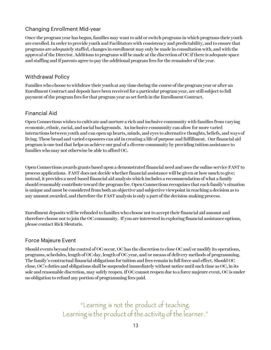# Changing Enrollment Mid-year

Once the program year has begun, families may want to add or switch programs in which programs their youth are enrolled. In order to provide youth and Facilitators with consistency and predictability, and to ensure that programs are adequately staffed, changes in enrollment may only be made in consultation with, and with the approval of the Director. Additions to programs will be made at the discretion of OC if there is adequate space and staffing and if parents agree to pay the additional program fees for the remainder of the year.

# Withdrawal Policy

Families who choose to withdraw their youth at any time during the course of the program year or after an Enrollment Contract and deposit have been received for a particular program year, are still subject to full payment of the program fees for that program year as set forth in the Enrollment Contract.

# Financial Aid

Open Connections wishes to cultivate and nurture a rich and inclusive community with families from varying economic, ethnic, racial, and social backgrounds. An inclusive community can allow for more varied interactions between youth and can open up hearts, minds, and eyes to alternative thoughts, beliefs, and ways of living. These broad and varied exposures can aid in creating a life of purpose and fulfillment. Our financial aid program is one tool that helps us achieve our goal of a diverse community by providing tuition assistance to families who may not otherwise be able to afford OC.

Open Connections awards grants based upon a demonstrated financial need and uses the online service FAST to process applications. FAST does not decide whether financial assistance will be given or how much to give; instead, it provides a need-based financial aid analysis which includes a recommendation of what a family should reasonably contribute toward the program fee. Open Connections recognizes that each family's situation is unique and must be considered from both an objective and subjective viewpoint in reaching a decision as to any amount awarded, and therefore the FAST analysis is only a part of the decision-making process.

Enrollment deposits will be refunded to families who choose not to accept their financial aid amount and therefore choose not to join the OC community. If you are interested in exploring financial assistance options, please contact Rick Sleutaris.

# Force Majeure Event

Should events beyond the control of OC occur, OC has the discretion to close OC and/or modify its operations, programs, schedules, length of OC day, length of OC year, and/or means of delivery methods of programming. The family's contractual financial obligations for tuition and fees remain in full force and effect. Should OC close, OC's duties and obligations shall be suspended immediately without notice until such time as OC, in its sole and reasonable discretion, may safely reopen. If OC cannot reopen due to a force majeure event, OC is under no obligation to refund any portion of programming fees paid.

> "Learning is not the product of teaching. Learning is the product of the activity of the learner."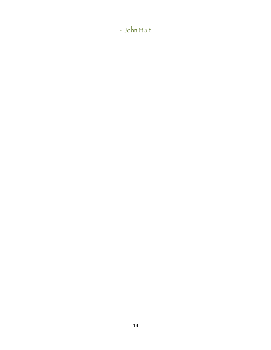- John Holt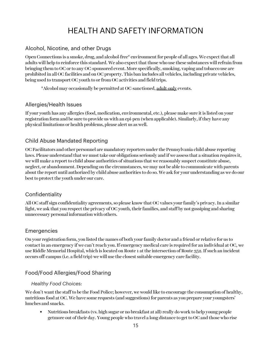# HEALTH AND SAFETY INFORMATION

# Alcohol, Nicotine, and other Drugs

Open Connections is a smoke, drug, and alcohol-free\* environment for people of all ages. We expect that all adults will help to reinforce this standard. We also expect that those who use these substances will refrain from bringing them to OC or to any OC-sponsored event. More specifically, smoking, vaping and tobacco use are prohibited in all OC facilities and on OC property. This ban includes all vehicles, including private vehicles, being used to transport OC youth to or from OC activities and field trips.

\*Alcohol may occasionally be permitted at OC-sanctioned, adult-only events.

#### Allergies/Health Issues

If your youth has any allergies (food, medication, environmental, etc.), please make sure it is listed on your registration form and be sure to provide us with an epi-pen (when applicable). Similarly, if they have any physical limitations or health problems, please alert us as well.

### Child Abuse Mandated Reporting

OC Facilitators and other personnel are mandatory reporters under the Pennsylvania child abuse reporting laws. Please understand that we must take our obligations seriously and if we assess that a situation requires it, we will make a report to child abuse authorities of situations that we reasonably suspect constitute abuse, neglect, or abandonment. Depending on the circumstances, we may not be able to communicate with parents about the report until authorized by child abuse authorities to do so. We ask for your understanding as we do our best to protect the youth under our care.

### **Confidentiality**

All OC staff sign confidentiality agreements, so please know that OC values your family's privacy. In a similar light, we ask that you respect the privacy of OC youth, their families, and staff by not gossiping and sharing unnecessary personal information with others.

### Emergencies

On your registration form, you listed the names of both your family doctor and a friend or relative for us to contact in an emergency if we can't reach you. If emergency medical care is required for an individual at OC, we use Riddle Memorial Hospital, which is located on Route 1 at the intersection of Route 352. If such an incident occurs off-campus (i.e. a field trip) we will use the closest suitable emergency care facility.

# Food/Food Allergies/Food Sharing

#### *Healthy Food Choices:*

We don't want the staff to be the Food Police; however, we would like to encourage the consumption of healthy, nutritious food at OC. We have some requests (and suggestions) for parents as you prepare your youngsters' lunches and snacks.

• Nutritious breakfasts (vs. high sugar or no breakfast at all) really do work to help young people getmore out of their day. Young people who travel a long distance to get to OC and those who rise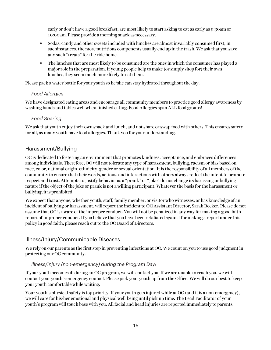early or don't have a good breakfast, are mostlikely to start asking to eat as early as 9:30am or 10:00am. Please provide a morning snack as necessary.

- Sodas, candy and other sweets included with lunches are almost invariably consumed first; in suchinstances, the more nutritious components usually end up in the trash. We ask that you save any such "treats" for the ride home.
- The lunches that are most likely to be consumed are the ones in which the consumer has played a major role in the preparation. If young people help to make (or simply shop for) their own lunches,they seem much more likely to eat them.

Please pack a water bottle for your youth so he/she can stay hydrated throughout the day.

#### *Food Allergies*

We have designated eating areas and encourage all community members to practice good allergy awareness by washing hands and tables well when finished eating. Food Allergies span ALL food groups!

#### *Food Sharing*

We ask that youth enjoy their own snack and lunch, and not share or swap food with others. This ensures safety for all, as many youth have food allergies. Thank you for your understanding.

# Harassment/Bullying

OCis dedicated to fostering an environment that promotes kindness, acceptance, and embraces differences among individuals. Therefore, OC will not tolerate any type of harassment, bullying, racism or bias based on race, color, national origin, ethnicity, gender or sexual orientation. It is the responsibility of all members of the community to ensure that their words, actions, and interactions with others always reflect the intent to promote respect and trust. Attempts to justify behavior as a "prank" or "joke" do not change its harassing or bullying nature if the object of the joke or prank is not a willing participant. Whatever the basis for the harassment or bullying, it is prohibited.

We expect that anyone, whether youth, staff, family member, or visitor who witnesses, or has knowledge of an incident of bullying or harassment, will report the incident to OC Assistant Director, Sarah Becker. Please do not assume that OC is aware of the improper conduct. You will not be penalized in any way for making a good faith report of improper conduct. If you believe that you have been retaliated against for making a report under this policy in good faith, please reach out to the OC Board of Directors.

### Illness/Injury/Communicable Diseases

We rely on our parents as the first step in preventing infections at OC. We count on you to use good judgment in protecting our OC community.

#### *Illness/Injury (non-emergency) during the Program Day:*

If your youth becomes ill during an OC program, we will contact you. If we are unable to reach you, we will contact your youth's emergency contact. Please pick your youth up from the Office. We will do our best to keep your youth comfortable while waiting.

Your youth's physical safety is top priority. If your youth gets injured while at OC (and it is a non-emergency), we will care for his/her emotional and physical well-being until pick-up time. The Lead Facilitator of your youth's program will touch base with you. All facial and head injuries are reported immediately to parents.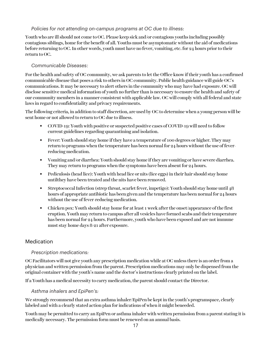#### *Policies for not attending on-campus programs at OC due to illness:*

Youth who are ill should not come to OC. Please keep sick and/or contagious youths including possibly contagious siblings, home for the benefit of all. Youths must be asymptomatic without the aid of medications before returning to OC. In other words, youth must have no fever, vomiting, etc. for 24 hours prior to their return to OC.

#### *Communicable Diseases:*

For the health and safety of OC community, we ask parents to let the Office know if their youth has a confirmed communicable disease that poses a risk to others in OC community. Public health guidance will guide OC's communications. It may be necessary to alert others in the community who may have had exposure. OC will disclose sensitive medical information of youth no further than is necessary to ensure the health and safety of our community members in a manner consistent with applicable law. OC will comply with all federal and state laws in regard to confidentiality and privacy requirements.

The following criteria, in addition to staff discretion, are used by OC to determine when a young person will be sent home or not allowed to return to OC due to illness.

- COVID-19: Youth with positive or suspected positive cases of COVID-19 will need to follow current guidelines regarding quarantining and isolation.
- Fever: Youth should stay home if they have a temperature of 100 degrees or higher. They may return to programs when the temperature has been normal for  $24$  hours without the use of feverreducing medication.
- Vomiting and/or diarrhea: Youth should stay home ifthey are vomiting or have severe diarrhea. They may return to programs when the symptoms have been absent for 24 hours.
- Pediculosis (head lice): Youth with head lice or nits (lice eggs) in their hair should stay home untilthey have been treated and the nits have been removed.
- Streptococcal Infection (strep throat, scarlet fever, impetigo): Youth should stay home until 48 hours of appropriate antibiotic has been given and the temperature has been normal for 24 hours without the use of fever-reducing medication.
- Chicken pox: Youth should stay home for at least 1 week after the onset/appearance of the first eruption. Youth may return to campus after all vesicles have formed scabs and their temperature has been normal for 24 hours. Furthermore, youth who have been exposed and are not immune must stay home days 8-21 after exposure.

# Medication

### *Prescription medications:*

OC Facilitators will not give youth any prescription medication while at OC unless there is an order from a physician and written permission from the parent. Prescription medications may only be dispensed from the original container with the youth's name and the doctor's instructions clearly printed on the label.

If a Youth has a medical necessity to carry medication, the parent should contact the Director.

#### *Asthma inhalers and EpiPen's:*

We strongly recommend that an extra asthma inhaler/EpiPen be kept in the youth's programspace, clearly labeled and with a clearly stated action plan for indications of when it might beneeded.

Youth may be permitted to carry an EpiPen or asthma inhaler with written permission from a parent stating it is medically necessary. The permission form must be renewed on an annual basis.